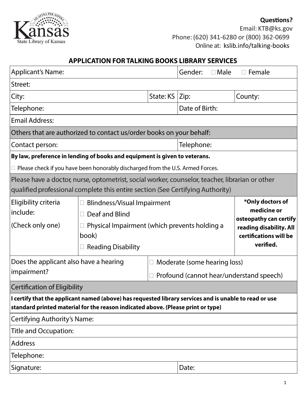

Email: KTB@ks.gov Phone:(620) 341-6280 or (800) 362-0699 Online at: kslib.info/talking-books

#### **APPLICATION FOR TALKING BOOKS LIBRARY SERVICES**

| <b>Applicant's Name:</b>                                                                                                                                                                   |                                                                                                                                             |                                                                          | Gender:        | $\Box$ Male                                                                                                                 | $\Box$ Female |  |
|--------------------------------------------------------------------------------------------------------------------------------------------------------------------------------------------|---------------------------------------------------------------------------------------------------------------------------------------------|--------------------------------------------------------------------------|----------------|-----------------------------------------------------------------------------------------------------------------------------|---------------|--|
| Street:                                                                                                                                                                                    |                                                                                                                                             |                                                                          |                |                                                                                                                             |               |  |
| City:                                                                                                                                                                                      |                                                                                                                                             | State: KS   Zip:                                                         |                |                                                                                                                             | County:       |  |
| Telephone:                                                                                                                                                                                 |                                                                                                                                             |                                                                          | Date of Birth: |                                                                                                                             |               |  |
| <b>Email Address:</b>                                                                                                                                                                      |                                                                                                                                             |                                                                          |                |                                                                                                                             |               |  |
| Others that are authorized to contact us/order books on your behalf:                                                                                                                       |                                                                                                                                             |                                                                          |                |                                                                                                                             |               |  |
| Contact person:                                                                                                                                                                            |                                                                                                                                             |                                                                          | Telephone:     |                                                                                                                             |               |  |
| By law, preference in lending of books and equipment is given to veterans.                                                                                                                 |                                                                                                                                             |                                                                          |                |                                                                                                                             |               |  |
| $\Box$ Please check if you have been honorably discharged from the U.S. Armed Forces.                                                                                                      |                                                                                                                                             |                                                                          |                |                                                                                                                             |               |  |
| Please have a doctor, nurse, optometrist, social worker, counselor, teacher, librarian or other<br> qualified professional complete this entire section (See Certifying Authority)         |                                                                                                                                             |                                                                          |                |                                                                                                                             |               |  |
| Eligibility criteria<br>include:<br>(Check only one)                                                                                                                                       | <b>Blindness/Visual Impairment</b><br>Deaf and Blind<br>Physical Impairment (which prevents holding a<br>book)<br>$\Box$ Reading Disability |                                                                          |                | *Only doctors of<br>medicine or<br>osteopathy can certify<br>reading disability. All<br>certifications will be<br>verified. |               |  |
| Does the applicant also have a hearing<br>impairment?                                                                                                                                      |                                                                                                                                             | Moderate (some hearing loss)<br>Profound (cannot hear/understand speech) |                |                                                                                                                             |               |  |
| <b>Certification of Eligibility</b>                                                                                                                                                        |                                                                                                                                             |                                                                          |                |                                                                                                                             |               |  |
| I certify that the applicant named (above) has requested library services and is unable to read or use<br>standard printed material for the reason indicated above. (Please print or type) |                                                                                                                                             |                                                                          |                |                                                                                                                             |               |  |
| <b>Certifying Authority's Name:</b>                                                                                                                                                        |                                                                                                                                             |                                                                          |                |                                                                                                                             |               |  |
| Title and Occupation:                                                                                                                                                                      |                                                                                                                                             |                                                                          |                |                                                                                                                             |               |  |
| <b>Address</b>                                                                                                                                                                             |                                                                                                                                             |                                                                          |                |                                                                                                                             |               |  |
| Telephone:                                                                                                                                                                                 |                                                                                                                                             |                                                                          |                |                                                                                                                             |               |  |
| Signature:                                                                                                                                                                                 |                                                                                                                                             |                                                                          | Date:          |                                                                                                                             |               |  |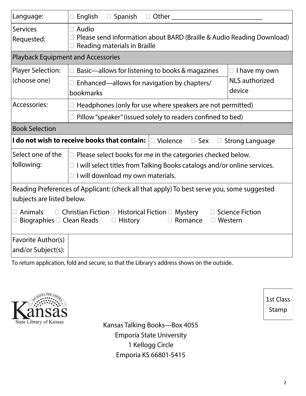| Language:                                                                                                            | English<br>$\Box$ Spanish<br>$\Box$ Other                                                                                               |                       |  |  |  |
|----------------------------------------------------------------------------------------------------------------------|-----------------------------------------------------------------------------------------------------------------------------------------|-----------------------|--|--|--|
| <b>Services</b><br>Requested:                                                                                        | $\Box$ Audio<br>Please send information about BARD (Braille & Audio Reading Download)<br>Reading materials in Braille                   |                       |  |  |  |
| <b>Playback Equipment and Accessories</b>                                                                            |                                                                                                                                         |                       |  |  |  |
| <b>Player Selection:</b>                                                                                             | Basic-allows for listening to books & magazines                                                                                         | $\Box$ I have my own  |  |  |  |
| (choose one)                                                                                                         | $\Box$ Enhanced—allows for navigation by chapters/                                                                                      | <b>NLS</b> authorized |  |  |  |
|                                                                                                                      | bookmarks                                                                                                                               | device                |  |  |  |
| Accessories:                                                                                                         | $\Box$ Headphones (only for use where speakers are not permitted)<br>$\Box$ Pillow "speaker" (issued solely to readers confined to bed) |                       |  |  |  |
|                                                                                                                      |                                                                                                                                         |                       |  |  |  |
| <b>Book Selection</b>                                                                                                |                                                                                                                                         |                       |  |  |  |
| I do not wish to receive books that contain:<br>$\Box$ Violence<br>$\square$ Sex<br><b>Strong Language</b><br>$\Box$ |                                                                                                                                         |                       |  |  |  |
| Select one of the                                                                                                    | $\Box$ Please select books for me in the categories checked below.                                                                      |                       |  |  |  |
| following:                                                                                                           | I will select titles from Talking Books catalogs and/or online services.<br>$\Box$                                                      |                       |  |  |  |
|                                                                                                                      | $\Box$ I will download my own materials.                                                                                                |                       |  |  |  |
| Reading Preferences of Applicant: (check all that apply) To best serve you, some suggested                           |                                                                                                                                         |                       |  |  |  |
| subjects are listed below.                                                                                           |                                                                                                                                         |                       |  |  |  |
| <b>Animals</b><br>$\Box$ Christian Fiction $\Box$ Historical Fiction $\Box$ Mystery<br><b>Science Fiction</b>        |                                                                                                                                         |                       |  |  |  |
| Biographies $\square$ Clean Reads<br><b>History</b><br>$\Box$ Western<br>$\Box$<br>Romance                           |                                                                                                                                         |                       |  |  |  |
| Favorite Author(s)                                                                                                   |                                                                                                                                         |                       |  |  |  |
| and/or Subject(s):                                                                                                   |                                                                                                                                         |                       |  |  |  |
| To return application, fold and secure, so that the Library's address shows on the outside.                          |                                                                                                                                         |                       |  |  |  |

State Library of Kansas

Kansas Talking Books-Box 4055 **Emporia State University** 1 Kellogg Circle Emporia KS 66801-5415

1st Class Stamp